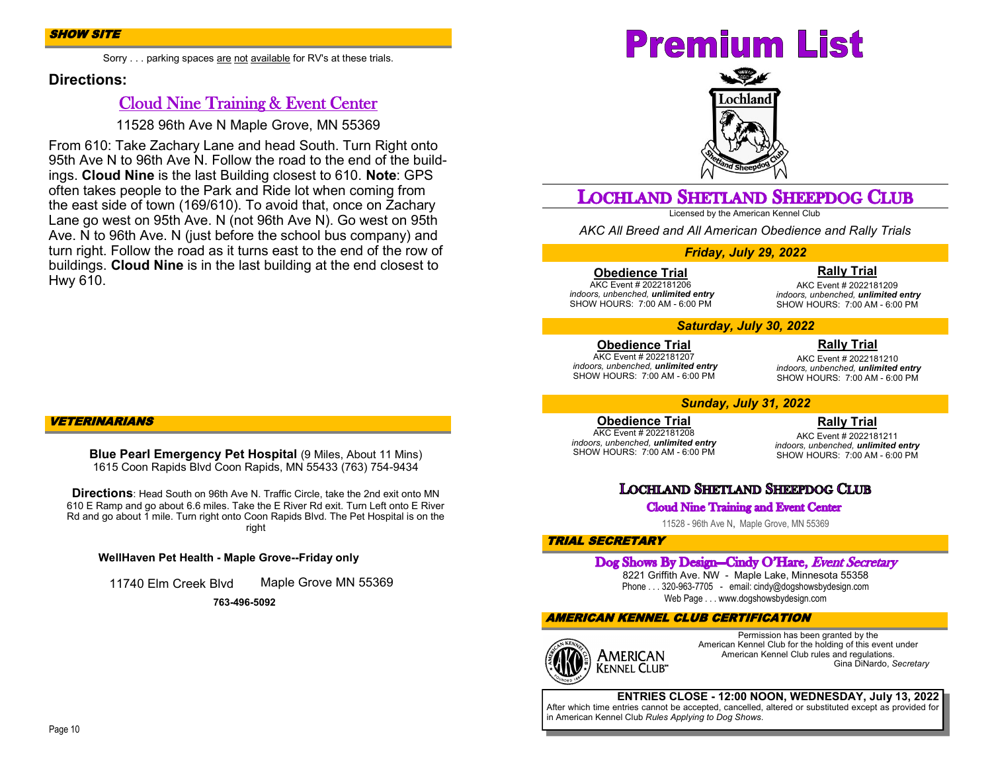Sorry . . . parking spaces are not available for RV's at these trials.

#### **Directions:**

## Cloud Nine Training & Event Center

11528 96th Ave N Maple Grove, MN 55369

From 610: Take Zachary Lane and head South. Turn Right onto 95th Ave N to 96th Ave N. Follow the road to the end of the buildings. **Cloud Nine** is the last Building closest to 610. **Note**: GPS often takes people to the Park and Ride lot when coming from the east side of town (169/610). To avoid that, once on Zachary Lane go west on 95th Ave. N (not 96th Ave N). Go west on 95th Ave. N to 96th Ave. N (just before the school bus company) and turn right. Follow the road as it turns east to the end of the row of buildings. **Cloud Nine** is in the last building at the end closest to Hwy 610.

#### VETERINARIANS

**Blue Pearl Emergency Pet Hospital** (9 Miles, About 11 Mins) 1615 Coon Rapids Blvd Coon Rapids, MN 55433 (763) 754-9434

**Directions**: Head South on 96th Ave N. Traffic Circle, take the 2nd exit onto MN 610 E Ramp and go about 6.6 miles. Take the E River Rd exit. Turn Left onto E River Rd and go about 1 mile. Turn right onto Coon Rapids Blvd. The Pet Hospital is on the right

**WellHaven Pet Health - Maple Grove--Friday only**

11740 Elm Creek Blvd Maple Grove MN 55369

**763-496-5092**

# **Premium List**



## **LOCHLAND SHETLAND SHEEPDOG CLUB**

Licensed by the American Kennel Club

*AKC All Breed and All American Obedience and Rally Trials*

#### *Friday, July 29, 2022*

**Obedience Trial**

AKC Event # 2022181206 *indoors, unbenched, unlimited entry* SHOW HOURS: 7:00 AM - 6:00 PM

**Rally Trial**

AKC Event # 2022181209 *indoors, unbenched, unlimited entry* SHOW HOURS: 7:00 AM - 6:00 PM

#### *Saturday, July 30, 2022*

**Obedience Trial** AKC Event # 2022181207 *indoors, unbenched, unlimited entry* SHOW HOURS: 7:00 AM - 6:00 PM

**Rally Trial** AKC Event # 2022181210 *indoors, unbenched, unlimited entry* SHOW HOURS: 7:00 AM - 6:00 PM

#### *Sunday, July 31, 2022*

#### **Obedience Trial**

AKC Event # 2022181208 *indoors, unbenched, unlimited entry* SHOW HOURS: 7:00 AM - 6:00 PM

**Rally Trial**

AKC Event # 2022181211 *indoors, unbenched, unlimited entry* SHOW HOURS: 7:00 AM - 6:00 PM

## **LOCHLAND SHETLAND SHEEPDOG CLUB**

#### **Cloud Nine Training and Event Center**

11528 - 96th Ave N, Maple Grove, MN 55369

#### TRIAL SECRETARY

#### Dog Shows By Design-Cindy O'Hare, Event Secretary

8221 Griffith Ave. NW - Maple Lake, Minnesota 55358 Phone . . . 320-963-7705 - email: cindy@dogshowsbydesign.com Web Page . . . www.dogshowsbydesign.com

#### AMERICAN KENNEL CLUB CERTIFICATION



Permission has been granted by the American Kennel Club for the holding of this event under American Kennel Club rules and regulations. Gina DiNardo, *Secretary*

### **ENTRIES CLOSE - 12:00 NOON, WEDNESDAY, July 13, 2022**

After which time entries cannot be accepted, cancelled, altered or substituted except as provided for in American Kennel Club *Rules Applying to Dog Shows*.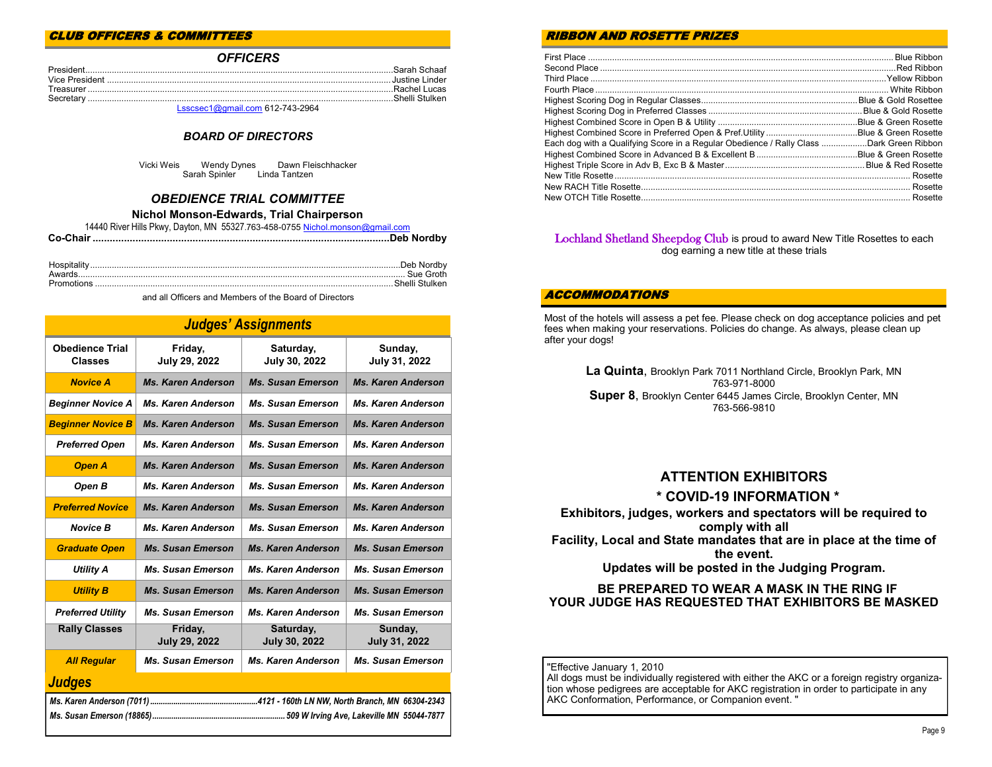#### CLUB OFFICERS & COMMITTEES

#### *OFFICERS*

| $Lsscsec1@amail.com612-743-2964$ |  |
|----------------------------------|--|

#### *BOARD OF DIRECTORS*

Vicki Weis Wendy Dynes Dawn Fleischhacker Sarah Spinler

#### *OBEDIENCE TRIAL COMMITTEE*

#### **Nichol Monson-Edwards, Trial Chairperson**

| 14440 River Hills Pkwy, Dayton, MN 55327.763-458-0755 Nichol.monson@gmail.com |  |
|-------------------------------------------------------------------------------|--|
|                                                                               |  |
|                                                                               |  |

and all Officers and Members of the Board of Directors

|                                          |                                 | <b>Judges' Assignments</b> |                                 |
|------------------------------------------|---------------------------------|----------------------------|---------------------------------|
| <b>Obedience Trial</b><br><b>Classes</b> | Friday,<br><b>July 29, 2022</b> | Saturday,<br>July 30, 2022 | Sunday,<br>July 31, 2022        |
| <b>Novice A</b>                          | <b>Ms. Karen Anderson</b>       | <b>Ms. Susan Emerson</b>   | <b>Ms. Karen Anderson</b>       |
| <b>Beginner Novice A</b>                 | <b>Ms. Karen Anderson</b>       | <b>Ms. Susan Emerson</b>   | <b>Ms. Karen Anderson</b>       |
| <b>Beginner Novice B</b>                 | <b>Ms. Karen Anderson</b>       | <b>Ms. Susan Emerson</b>   | <b>Ms. Karen Anderson</b>       |
| <b>Preferred Open</b>                    | <b>Ms. Karen Anderson</b>       | <b>Ms. Susan Emerson</b>   | <b>Ms. Karen Anderson</b>       |
| <b>Open A</b>                            | <b>Ms. Karen Anderson</b>       | <b>Ms. Susan Emerson</b>   | <b>Ms. Karen Anderson</b>       |
| Open B                                   | <b>Ms. Karen Anderson</b>       | <b>Ms. Susan Emerson</b>   | <b>Ms. Karen Anderson</b>       |
| <b>Preferred Novice</b>                  | <b>Ms. Karen Anderson</b>       | <b>Ms. Susan Emerson</b>   | <b>Ms. Karen Anderson</b>       |
| <b>Novice B</b>                          | <b>Ms. Karen Anderson</b>       | <b>Ms. Susan Emerson</b>   | <b>Ms. Karen Anderson</b>       |
| <b>Graduate Open</b>                     | <b>Ms. Susan Emerson</b>        | <b>Ms. Karen Anderson</b>  | <b>Ms. Susan Emerson</b>        |
| <b>Utility A</b>                         | <b>Ms. Susan Emerson</b>        | <b>Ms. Karen Anderson</b>  | <b>Ms. Susan Emerson</b>        |
| <b>Utility B</b>                         | <b>Ms. Susan Emerson</b>        | <b>Ms. Karen Anderson</b>  | <b>Ms. Susan Emerson</b>        |
| <b>Preferred Utility</b>                 | <b>Ms. Susan Emerson</b>        | <b>Ms. Karen Anderson</b>  | <b>Ms. Susan Emerson</b>        |
| <b>Rally Classes</b>                     | Friday,<br><b>July 29, 2022</b> | Saturday,<br>July 30, 2022 | Sunday,<br><b>July 31, 2022</b> |
| <b>All Regular</b>                       | <b>Ms. Susan Emerson</b>        | <b>Ms. Karen Anderson</b>  | <b>Ms. Susan Emerson</b>        |
| Judges                                   |                                 |                            |                                 |
|                                          |                                 |                            |                                 |

#### RIBBON AND ROSETTE PRIZES

|                                                                                         | Blue & Green Rosette |
|-----------------------------------------------------------------------------------------|----------------------|
|                                                                                         |                      |
| Each dog with a Qualifying Score in a Regular Obedience / Rally Class Dark Green Ribbon |                      |
|                                                                                         |                      |
|                                                                                         |                      |
|                                                                                         |                      |
|                                                                                         |                      |
|                                                                                         |                      |

#### Lochland Shetland Sheepdog Club is proud to award New Title Rosettes to each dog earning a new title at these trials

#### ACCOMMODATIONS

Most of the hotels will assess a pet fee. Please check on dog acceptance policies and pet fees when making your reservations. Policies do change. As always, please clean up after your dogs!

> **La Quinta**, Brooklyn Park 7011 Northland Circle, Brooklyn Park, MN 763-971-8000 **Super 8**, Brooklyn Center 6445 James Circle, Brooklyn Center, MN 763-566-9810

## **ATTENTION EXHIBITORS**

#### **\* COVID-19 INFORMATION \***

#### **Exhibitors, judges, workers and spectators will be required to comply with all Facility, Local and State mandates that are in place at the time of the event. Updates will be posted in the Judging Program.**

#### **BE PREPARED TO WEAR A MASK IN THE RING IF YOUR JUDGE HAS REQUESTED THAT EXHIBITORS BE MASKED**

"Effective January 1, 2010 All dogs must be individually registered with either the AKC or a foreign registry organization whose pedigrees are acceptable for AKC registration in order to participate in any AKC Conformation, Performance, or Companion event. "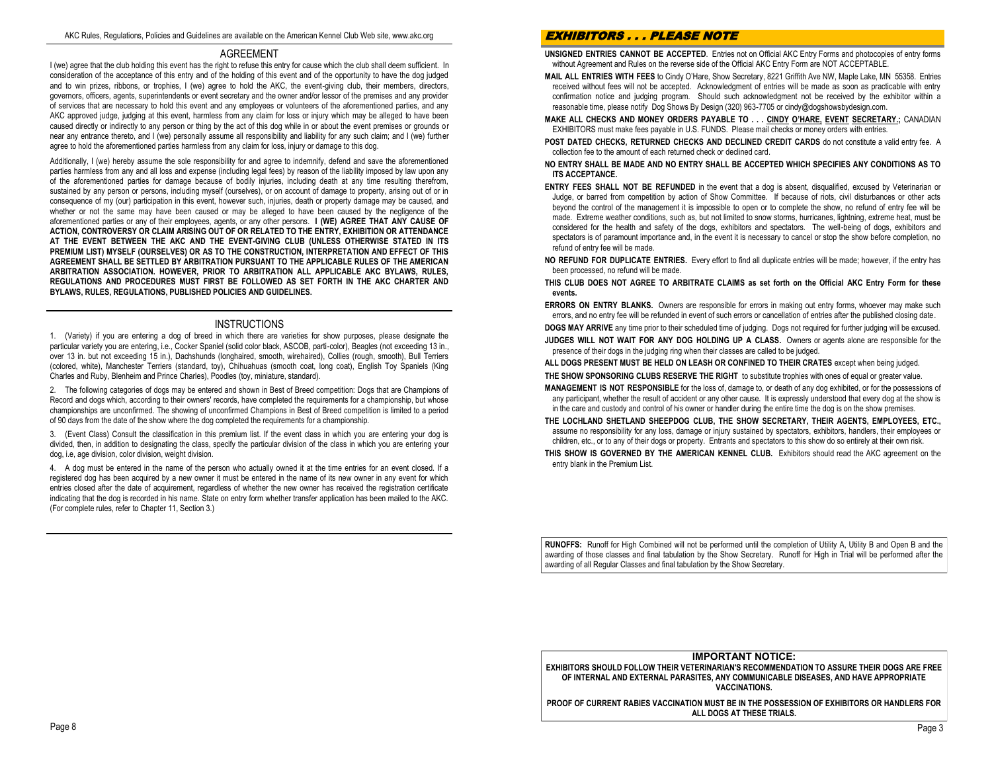#### AGREEMENT

I (we) agree that the club holding this event has the right to refuse this entry for cause which the club shall deem sufficient. In consideration of the acceptance of this entry and of the holding of this event and of the opportunity to have the dog judged and to win prizes, ribbons, or trophies, I (we) agree to hold the AKC, the event-giving club, their members, directors, governors, officers, agents, superintendents or event secretary and the owner and/or lessor of the premises and any provider of services that are necessary to hold this event and any employees or volunteers of the aforementioned parties, and any AKC approved judge, judging at this event, harmless from any claim for loss or injury which may be alleged to have been caused directly or indirectly to any person or thing by the act of this dog while in or about the event premises or grounds or near any entrance thereto, and I (we) personally assume all responsibility and liability for any such claim; and I (we) further agree to hold the aforementioned parties harmless from any claim for loss, injury or damage to this dog.

Additionally, I (we) hereby assume the sole responsibility for and agree to indemnify, defend and save the aforementioned parties harmless from any and all loss and expense (including legal fees) by reason of the liability imposed by law upon any of the aforementioned parties for damage because of bodily injuries, including death at any time resulting therefrom, sustained by any person or persons, including myself (ourselves), or on account of damage to property, arising out of or in consequence of my (our) participation in this event, however such, injuries, death or property damage may be caused, and whether or not the same may have been caused or may be alleged to have been caused by the negligence of the aforementioned parties or any of their employees, agents, or any other persons. **I (WE) AGREE THAT ANY CAUSE OF ACTION, CONTROVERSY OR CLAIM ARISING OUT OF OR RELATED TO THE ENTRY, EXHIBITION OR ATTENDANCE AT THE EVENT BETWEEN THE AKC AND THE EVENT-GIVING CLUB (UNLESS OTHERWISE STATED IN ITS PREMIUM LIST) MYSELF (OURSELVES) OR AS TO THE CONSTRUCTION, INTERPRETATION AND EFFECT OF THIS AGREEMENT SHALL BE SETTLED BY ARBITRATION PURSUANT TO THE APPLICABLE RULES OF THE AMERICAN ARBITRATION ASSOCIATION. HOWEVER, PRIOR TO ARBITRATION ALL APPLICABLE AKC BYLAWS, RULES, REGULATIONS AND PROCEDURES MUST FIRST BE FOLLOWED AS SET FORTH IN THE AKC CHARTER AND BYLAWS, RULES, REGULATIONS, PUBLISHED POLICIES AND GUIDELINES.**

#### **INSTRUCTIONS**

1. (Variety) if you are entering a dog of breed in which there are varieties for show purposes, please designate the particular variety you are entering, i.e., Cocker Spaniel (solid color black, ASCOB, parti-color), Beagles (not exceeding 13 in., over 13 in. but not exceeding 15 in.), Dachshunds (longhaired, smooth, wirehaired), Collies (rough, smooth), Bull Terriers (colored, white), Manchester Terriers (standard, toy), Chihuahuas (smooth coat, long coat), English Toy Spaniels (King Charles and Ruby, Blenheim and Prince Charles), Poodles (toy, miniature, standard).

2. The following categories of dogs may be entered and shown in Best of Breed competition: Dogs that are Champions of Record and dogs which, according to their owners' records, have completed the requirements for a championship, but whose championships are unconfirmed. The showing of unconfirmed Champions in Best of Breed competition is limited to a period of 90 days from the date of the show where the dog completed the requirements for a championship.

3. (Event Class) Consult the classification in this premium list. If the event class in which you are entering your dog is divided, then, in addition to designating the class, specify the particular division of the class in which you are entering your dog, i.e, age division, color division, weight division.

4. A dog must be entered in the name of the person who actually owned it at the time entries for an event closed. If a registered dog has been acquired by a new owner it must be entered in the name of its new owner in any event for which entries closed after the date of acquirement, regardless of whether the new owner has received the registration certificate indicating that the dog is recorded in his name. State on entry form whether transfer application has been mailed to the AKC. (For complete rules, refer to Chapter 11, Section 3.)

#### EXHIBITORS . . . PLEASE NOTE

**UNSIGNED ENTRIES CANNOT BE ACCEPTED**. Entries not on Official AKC Entry Forms and photocopies of entry forms without Agreement and Rules on the reverse side of the Official AKC Entry Form are NOT ACCEPTABLE.

- **MAIL ALL ENTRIES WITH FEES** to Cindy O'Hare, Show Secretary, 8221 Griffith Ave NW, Maple Lake, MN 55358. Entries received without fees will not be accepted. Acknowledgment of entries will be made as soon as practicable with entry confirmation notice and judging program. Should such acknowledgment not be received by the exhibitor within a reasonable time, please notify Dog Shows By Design (320) 963-7705 or cindy@dogshowsbydesign.com.
- **MAKE ALL CHECKS AND MONEY ORDERS PAYABLE TO . . . CINDY O'HARE, EVENT SECRETARY.;** CANADIAN EXHIBITORS must make fees payable in U.S. FUNDS. Please mail checks or money orders with entries.
- **POST DATED CHECKS, RETURNED CHECKS AND DECLINED CREDIT CARDS** do not constitute a valid entry fee. A collection fee to the amount of each returned check or declined card.
- **NO ENTRY SHALL BE MADE AND NO ENTRY SHALL BE ACCEPTED WHICH SPECIFIES ANY CONDITIONS AS TO ITS ACCEPTANCE.**
- **ENTRY FEES SHALL NOT BE REFUNDED** in the event that a dog is absent, disqualified, excused by Veterinarian or Judge, or barred from competition by action of Show Committee. If because of riots, civil disturbances or other acts beyond the control of the management it is impossible to open or to complete the show, no refund of entry fee will be made. Extreme weather conditions, such as, but not limited to snow storms, hurricanes, lightning, extreme heat, must be considered for the health and safety of the dogs, exhibitors and spectators. The well-being of dogs, exhibitors and spectators is of paramount importance and, in the event it is necessary to cancel or stop the show before completion, no refund of entry fee will be made.
- **NO REFUND FOR DUPLICATE ENTRIES.** Every effort to find all duplicate entries will be made; however, if the entry has been processed, no refund will be made.
- **THIS CLUB DOES NOT AGREE TO ARBITRATE CLAIMS as set forth on the Official AKC Entry Form for these events.**
- **ERRORS ON ENTRY BLANKS.** Owners are responsible for errors in making out entry forms, whoever may make such errors, and no entry fee will be refunded in event of such errors or cancellation of entries after the published closing date.
- **DOGS MAY ARRIVE** any time prior to their scheduled time of judging. Dogs not required for further judging will be excused.
- **JUDGES WILL NOT WAIT FOR ANY DOG HOLDING UP A CLASS.** Owners or agents alone are responsible for the presence of their dogs in the judging ring when their classes are called to be judged.
- **ALL DOGS PRESENT MUST BE HELD ON LEASH OR CONFINED TO THEIR CRATES** except when being judged. **THE SHOW SPONSORING CLUBS RESERVE THE RIGHT** to substitute trophies with ones of equal or greater value.
- **MANAGEMENT IS NOT RESPONSIBLE** for the loss of, damage to, or death of any dog exhibited, or for the possessions of any participant, whether the result of accident or any other cause. It is expressly understood that every dog at the show is in the care and custody and control of his owner or handler during the entire time the dog is on the show premises.
- **THE LOCHLAND SHETLAND SHEEPDOG CLUB, THE SHOW SECRETARY, THEIR AGENTS, EMPLOYEES, ETC.,** assume no responsibility for any loss, damage or injury sustained by spectators, exhibitors, handlers, their employees or children, etc., or to any of their dogs or property. Entrants and spectators to this show do so entirely at their own risk.
- **THIS SHOW IS GOVERNED BY THE AMERICAN KENNEL CLUB.** Exhibitors should read the AKC agreement on the entry blank in the Premium List.

**RUNOFFS:** Runoff for High Combined will not be performed until the completion of Utility A, Utility B and Open B and the awarding of those classes and final tabulation by the Show Secretary. Runoff for High in Trial will be performed after the awarding of all Regular Classes and final tabulation by the Show Secretary.

#### **IMPORTANT NOTICE:**

**EXHIBITORS SHOULD FOLLOW THEIR VETERINARIAN'S RECOMMENDATION TO ASSURE THEIR DOGS ARE FREE OF INTERNAL AND EXTERNAL PARASITES, ANY COMMUNICABLE DISEASES, AND HAVE APPROPRIATE VACCINATIONS.**

**PROOF OF CURRENT RABIES VACCINATION MUST BE IN THE POSSESSION OF EXHIBITORS OR HANDLERS FOR ALL DOGS AT THESE TRIALS.**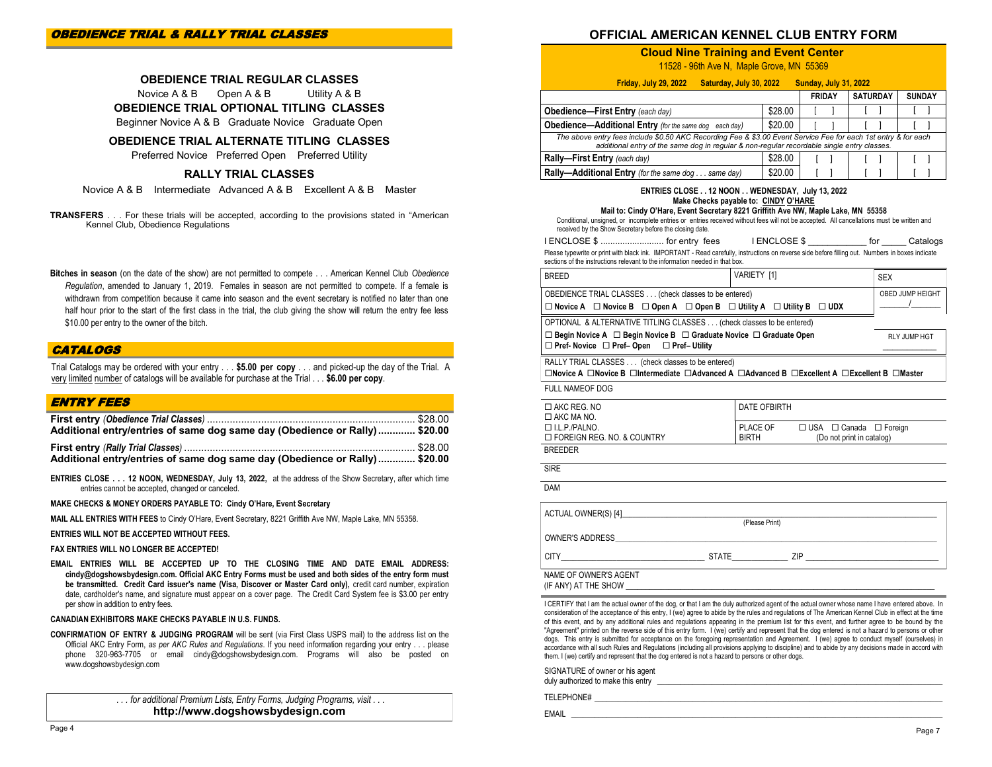#### **OFFICIAL AMERICAN KENNEL CLUB ENTRY FORM**

#### **Cloud Nine Training and Event Center**

11528 - 96th Ave N, Maple Grove, MN 55369

| Friday, July 29, 2022<br>Saturday, July 30, 2022                                                                                                                                                                                                                                                                                                                                    |         | <b>Sunday, July 31, 2022</b> |                 |               |
|-------------------------------------------------------------------------------------------------------------------------------------------------------------------------------------------------------------------------------------------------------------------------------------------------------------------------------------------------------------------------------------|---------|------------------------------|-----------------|---------------|
|                                                                                                                                                                                                                                                                                                                                                                                     |         | <b>FRIDAY</b>                | <b>SATURDAY</b> | <b>SUNDAY</b> |
| <b>Obedience-First Entry (each day)</b>                                                                                                                                                                                                                                                                                                                                             | \$28.00 |                              |                 |               |
| <b>Obedience—Additional Entry</b> (for the same dog each day)                                                                                                                                                                                                                                                                                                                       | \$20.00 |                              |                 |               |
| The above entry fees include \$0.50 AKC Recording Fee & \$3.00 Event Service Fee for each 1st entry & for each<br>additional entry of the same dog in regular & non-regular recordable single entry classes.                                                                                                                                                                        |         |                              |                 |               |
| Rally-First Entry (each day)                                                                                                                                                                                                                                                                                                                                                        | \$28.00 |                              |                 |               |
| Rally-Additional Entry (for the same dog same day)                                                                                                                                                                                                                                                                                                                                  | \$20.00 |                              |                 |               |
| ENTRIES CLOSE 12 NOON WEDNESDAY, July 13, 2022<br>Make Checks payable to: CINDY O'HARE<br>Mail to: Cindy O'Hare, Event Secretary 8221 Griffith Ave NW, Maple Lake, MN 55358<br>Conditional, unsigned, or incomplete entries or entries received without fees will not be accepted. All cancellations must be written and<br>received by the Show Secretary before the closing date. |         |                              |                 |               |

| I ENCLOSE \$  for entry fees                                                                                                       | <b>I ENCLOSE \$</b> | Catalogs |
|------------------------------------------------------------------------------------------------------------------------------------|---------------------|----------|
| Black become construction of the IMBODIANII Dead confully to be described as a compatible form films and Alemana to be constructed |                     |          |

Please typewrite or print with black ink. IMPORTANT - Read carefully, instructions on reverse side before filling out. Numbers in boxes indicate sections of the instructions relevant to the information needed in that box.

| <b>BRFFD</b>                                                                                                                                                                                                                                            | VARIETY [1]    |                                   | <b>SEX</b>                     |
|---------------------------------------------------------------------------------------------------------------------------------------------------------------------------------------------------------------------------------------------------------|----------------|-----------------------------------|--------------------------------|
| OBEDIENCE TRIAL CLASSES (check classes to be entered)                                                                                                                                                                                                   |                |                                   | OBED JUMP HEIGHT<br>$\sqrt{2}$ |
| $\Box$ Novice A $\Box$ Novice B $\Box$ Open A $\Box$ Open B $\Box$ Utility A $\Box$ Utility B $\Box$ UDX                                                                                                                                                |                |                                   |                                |
| OPTIONAL & ALTERNATIVE TITLING CLASSES (check classes to be entered)                                                                                                                                                                                    |                |                                   |                                |
| $\Box$ Begin Novice A $\Box$ Begin Novice B $\Box$ Graduate Novice $\Box$ Graduate Open<br>$\Box$ Pref- Novice $\Box$ Pref- Open $\Box$ Pref- Utility                                                                                                   |                |                                   | RLY JUMP HGT                   |
| RALLY TRIAL CLASSES (check classes to be entered)<br>$\Box$ Novice A $\Box$ Novice B $\Box$ Intermediate $\Box$ Advanced A $\Box$ Advanced B $\Box$ Excellent A $\Box$ Excellent B $\Box$ Master                                                        |                |                                   |                                |
| FULL NAMEOF DOG                                                                                                                                                                                                                                         |                |                                   |                                |
| $\Box$ AKC REG. NO<br>$\Box$ AKC MA NO.                                                                                                                                                                                                                 | DATE OFBIRTH   |                                   |                                |
| $\Box$ I.L.P./PALNO.                                                                                                                                                                                                                                    |                | PLACE OF □ USA □ Canada □ Foreign |                                |
| $\Box$ FOREIGN REG. NO. & COUNTRY                                                                                                                                                                                                                       | <b>BIRTH</b>   | (Do not print in catalog)         |                                |
| <b>BREEDER</b>                                                                                                                                                                                                                                          |                |                                   |                                |
| <b>SIRE</b>                                                                                                                                                                                                                                             |                |                                   |                                |
| <b>DAM</b>                                                                                                                                                                                                                                              |                |                                   |                                |
| ACTUAL OWNER(S) [4] <b>Example 20</b> Second 20 ACTUAL OWNER(S) [4]                                                                                                                                                                                     |                |                                   |                                |
|                                                                                                                                                                                                                                                         | (Please Print) |                                   |                                |
|                                                                                                                                                                                                                                                         |                |                                   |                                |
| CITY CITY CONTENTS OF STATE THE CITY OF THE CITY CONTENTS OF THE CITY CONTENTS OF THE CITY OF THE CITY OF THE CITY OF THE CITY OF THE CITY OF THE CITY OF THE CITY OF THE CITY OF THE CITY OF THE CITY OF THE CITY OF THE CITY                          |                |                                   |                                |
| NAME OF OWNER'S AGENT<br>(IF ANY) AT THE SHOW AND THE SHOW IN THE SHOW IN THE SHOW IN THE SHOW IN THE SHOW IN THE SHOW IN THE SHOW IN THE SHOW IN THE SHOW IN THE SHOW IN THE SHOW IN THE SHOW IN THE SHOW IN THE SHOW IN THE SHOW IN THE SHOW IN THE S |                |                                   |                                |
| I CERTIEV that I am the actual owner of the dog or that I am the duly authorized agent of the actual owner whose name I have entered above. In                                                                                                          |                |                                   |                                |

I CERTIFY that I am the actual owner of the dog, or that I am the duly authorized agent of the actual owner whose name I have entered above. In consideration of the acceptance of this entry, I (we) agree to abide by the rules and regulations of The American Kennel Club in effect at the time of this event, and by any additional rules and regulations appearing in the premium list for this event, and further agree to be bound by the "Agreement" printed on the reverse side of this entry form. I (we) certify and represent that the dog entered is not a hazard to persons or other dogs. This entry is submitted for acceptance on the foregoing representation and Agreement. I (we) agree to conduct myself (ourselves) in accordance with all such Rules and Regulations (including all provisions applying to discipline) and to abide by any decisions made in accord with them. I (we) certify and represent that the dog entered is not a hazard to persons or other dogs.

SIGNATURE of owner or his agent duly authorized to make this entry

TELEPHONE#

EMAIL \_\_\_\_\_\_\_\_\_\_\_\_\_\_\_\_\_\_\_\_\_\_\_\_\_\_\_\_\_\_\_\_\_\_\_\_\_\_\_\_\_\_\_\_\_\_\_\_\_\_\_\_\_\_\_\_\_\_\_\_\_\_\_\_\_\_\_\_\_\_\_\_\_\_\_\_\_\_\_\_\_\_\_\_\_\_\_\_\_\_\_\_\_\_\_

**OBEDIENCE TRIAL REGULAR CLASSES**

Novice A & B Open A & B Utility A & B **OBEDIENCE TRIAL OPTIONAL TITLING CLASSES** Beginner Novice A & B Graduate Novice Graduate Open

**OBEDIENCE TRIAL ALTERNATE TITLING CLASSES** 

Preferred Novice Preferred Open Preferred Utility

#### **RALLY TRIAL CLASSES**

Novice A & B Intermediate Advanced A & B Excellent A & B Master

**TRANSFERS** . . . For these trials will be accepted, according to the provisions stated in "American Kennel Club, Obedience Regulations

**Bitches in season** (on the date of the show) are not permitted to compete . . . American Kennel Club *Obedience Regulation*, amended to January 1, 2019. Females in season are not permitted to compete. If a female is withdrawn from competition because it came into season and the event secretary is notified no later than one half hour prior to the start of the first class in the trial, the club giving the show will return the entry fee less \$10.00 per entry to the owner of the bitch.

#### **CATALOGS**

Trial Catalogs may be ordered with your entry . . . **\$5.00 per copy** . . . and picked-up the day of the Trial. A very limited number of catalogs will be available for purchase at the Trial . . . **\$6.00 per copy**.

#### ENTRY FEES

| Additional entry/entries of same dog same day (Obedience or Rally)  \$20.00 |  |
|-----------------------------------------------------------------------------|--|
| Additional entry/entries of same dog same day (Obedience or Rally) \$20.00  |  |

**ENTRIES CLOSE . . . 12 NOON, WEDNESDAY, July 13, 2022,** at the address of the Show Secretary, after which time entries cannot be accepted, changed or canceled.

**MAKE CHECKS & MONEY ORDERS PAYABLE TO: Cindy O'Hare, Event Secretary**

**MAIL ALL ENTRIES WITH FEES** to Cindy O'Hare, Event Secretary, 8221 Griffith Ave NW, Maple Lake, MN 55358.

**ENTRIES WILL NOT BE ACCEPTED WITHOUT FEES.**

#### **FAX ENTRIES WILL NO LONGER BE ACCEPTED!**

**EMAIL ENTRIES WILL BE ACCEPTED UP TO THE CLOSING TIME AND DATE EMAIL ADDRESS: cindy@dogshowsbydesign.com. Official AKC Entry Forms must be used and both sides of the entry form must be transmitted. Credit Card issuer's name (Visa, Discover or Master Card only),** credit card number, expiration date, cardholder's name, and signature must appear on a cover page. The Credit Card System fee is \$3.00 per entry per show in addition to entry fees.

#### **CANADIAN EXHIBITORS MAKE CHECKS PAYABLE IN U.S. FUNDS.**

**CONFIRMATION OF ENTRY & JUDGING PROGRAM** will be sent (via First Class USPS mail) to the address list on the Official AKC Entry Form, *as per AKC Rules and Regulations*. If you need information regarding your entry . . . please phone 320-963-7705 or email cindy@dogshowsbydesign.com. Programs will also be posted on www.dogshowsbydesign.com

> *. . . for additional Premium Lists, Entry Forms, Judging Programs, visit . . .*  **http://www.dogshowsbydesign.com**